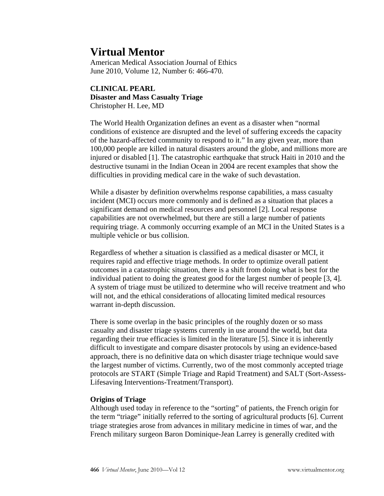# **Virtual Mentor**

American Medical Association Journal of Ethics June 2010, Volume 12, Number 6: 466-470.

## **CLINICAL PEARL Disaster and Mass Casualty Triage**  Christopher H. Lee, MD

The World Health Organization defines an event as a disaster when "normal conditions of existence are disrupted and the level of suffering exceeds the capacity of the hazard-affected community to respond to it." In any given year, more than 100,000 people are killed in natural disasters around the globe, and millions more are injured or disabled [1]. The catastrophic earthquake that struck Haiti in 2010 and the destructive tsunami in the Indian Ocean in 2004 are recent examples that show the difficulties in providing medical care in the wake of such devastation.

While a disaster by definition overwhelms response capabilities, a mass casualty incident (MCI) occurs more commonly and is defined as a situation that places a significant demand on medical resources and personnel [2]. Local response capabilities are not overwhelmed, but there are still a large number of patients requiring triage. A commonly occurring example of an MCI in the United States is a multiple vehicle or bus collision.

Regardless of whether a situation is classified as a medical disaster or MCI, it requires rapid and effective triage methods. In order to optimize overall patient outcomes in a catastrophic situation, there is a shift from doing what is best for the individual patient to doing the greatest good for the largest number of people [3, 4]. A system of triage must be utilized to determine who will receive treatment and who will not, and the ethical considerations of allocating limited medical resources warrant in-depth discussion.

There is some overlap in the basic principles of the roughly dozen or so mass casualty and disaster triage systems currently in use around the world, but data regarding their true efficacies is limited in the literature [5]. Since it is inherently difficult to investigate and compare disaster protocols by using an evidence-based approach, there is no definitive data on which disaster triage technique would save the largest number of victims. Currently, two of the most commonly accepted triage protocols are START (Simple Triage and Rapid Treatment) and SALT (Sort-Assess-Lifesaving Interventions-Treatment/Transport).

## **Origins of Triage**

Although used today in reference to the "sorting" of patients, the French origin for the term "triage" initially referred to the sorting of agricultural products [6]. Current triage strategies arose from advances in military medicine in times of war, and the French military surgeon Baron Dominique-Jean Larrey is generally credited with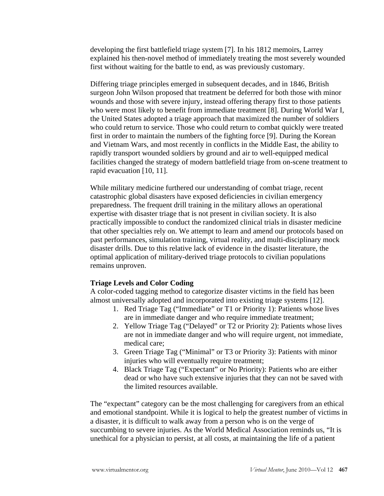developing the first battlefield triage system [7]. In his 1812 memoirs, Larrey explained his then-novel method of immediately treating the most severely wounded first without waiting for the battle to end, as was previously customary.

Differing triage principles emerged in subsequent decades, and in 1846, British surgeon John Wilson proposed that treatment be deferred for both those with minor wounds and those with severe injury, instead offering therapy first to those patients who were most likely to benefit from immediate treatment [8]. During World War I, the United States adopted a triage approach that maximized the number of soldiers who could return to service. Those who could return to combat quickly were treated first in order to maintain the numbers of the fighting force [9]. During the Korean and Vietnam Wars, and most recently in conflicts in the Middle East, the ability to rapidly transport wounded soldiers by ground and air to well-equipped medical facilities changed the strategy of modern battlefield triage from on-scene treatment to rapid evacuation [10, 11].

While military medicine furthered our understanding of combat triage, recent catastrophic global disasters have exposed deficiencies in civilian emergency preparedness. The frequent drill training in the military allows an operational expertise with disaster triage that is not present in civilian society. It is also practically impossible to conduct the randomized clinical trials in disaster medicine that other specialties rely on. We attempt to learn and amend our protocols based on past performances, simulation training, virtual reality, and multi-disciplinary mock disaster drills. Due to this relative lack of evidence in the disaster literature, the optimal application of military-derived triage protocols to civilian populations remains unproven.

#### **Triage Levels and Color Coding**

A color-coded tagging method to categorize disaster victims in the field has been almost universally adopted and incorporated into existing triage systems [12].

- 1. Red Triage Tag ("Immediate" or T1 or Priority 1): Patients whose lives are in immediate danger and who require immediate treatment;
- 2. Yellow Triage Tag ("Delayed" or T2 or Priority 2): Patients whose lives are not in immediate danger and who will require urgent, not immediate, medical care;
- 3. Green Triage Tag ("Minimal" or T3 or Priority 3): Patients with minor injuries who will eventually require treatment;
- 4. Black Triage Tag ("Expectant" or No Priority): Patients who are either dead or who have such extensive injuries that they can not be saved with the limited resources available.

The "expectant" category can be the most challenging for caregivers from an ethical and emotional standpoint. While it is logical to help the greatest number of victims in a disaster, it is difficult to walk away from a person who is on the verge of succumbing to severe injuries. As the World Medical Association reminds us, "It is unethical for a physician to persist, at all costs, at maintaining the life of a patient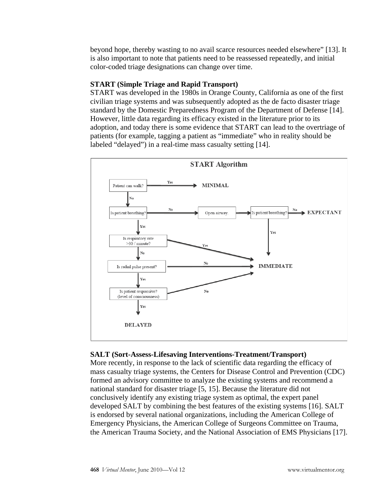beyond hope, thereby wasting to no avail scarce resources needed elsewhere" [13]. It is also important to note that patients need to be reassessed repeatedly, and initial color-coded triage designations can change over time.

# **START (Simple Triage and Rapid Transport)**

START was developed in the 1980s in Orange County, California as one of the first civilian triage systems and was subsequently adopted as the de facto disaster triage standard by the Domestic Preparedness Program of the Department of Defense [14]. However, little data regarding its efficacy existed in the literature prior to its adoption, and today there is some evidence that START can lead to the overtriage of patients (for example, tagging a patient as "immediate" who in reality should be labeled "delayed") in a real-time mass casualty setting [14].



## **SALT (Sort-Assess-Lifesaving Interventions-Treatment/Transport)**

More recently, in response to the lack of scientific data regarding the efficacy of mass casualty triage systems, the Centers for Disease Control and Prevention (CDC) formed an advisory committee to analyze the existing systems and recommend a national standard for disaster triage [5, 15]. Because the literature did not conclusively identify any existing triage system as optimal, the expert panel developed SALT by combining the best features of the existing systems [16]. SALT is endorsed by several national organizations, including the American College of Emergency Physicians, the American College of Surgeons Committee on Trauma, the American Trauma Society, and the National Association of EMS Physicians [17].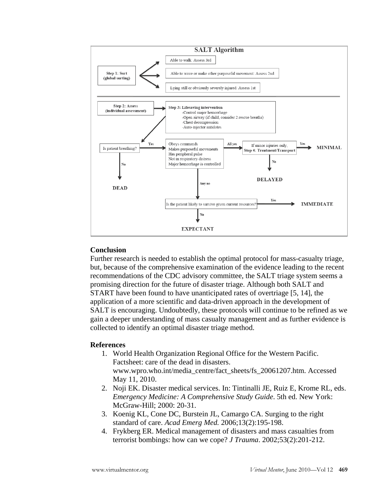

### **Conclusion**

Further research is needed to establish the optimal protocol for mass-casualty triage, but, because of the comprehensive examination of the evidence leading to the recent recommendations of the CDC advisory committee, the SALT triage system seems a promising direction for the future of disaster triage. Although both SALT and START have been found to have unanticipated rates of overtriage [5, 14], the application of a more scientific and data-driven approach in the development of SALT is encouraging. Undoubtedly, these protocols will continue to be refined as we gain a deeper understanding of mass casualty management and as further evidence is collected to identify an optimal disaster triage method.

#### **References**

- 1. World Health Organization Regional Office for the Western Pacific. Factsheet: care of the dead in disasters. www.wpro.who.int/media\_centre/fact\_sheets/fs\_20061207.htm. Accessed May 11, 2010.
- 2. Noji EK. Disaster medical services. In: Tintinalli JE, Ruiz E, Krome RL, eds. *Emergency Medicine: A Comprehensive Study Guide*. 5th ed. New York: McGraw-Hill; 2000: 20-31.
- 3. Koenig KL, Cone DC, Burstein JL, Camargo CA. Surging to the right standard of care. *Acad Emerg Med.* 2006;13(2):195-198.
- 4. Frykberg ER. Medical management of disasters and mass casualties from terrorist bombings: how can we cope? *J Trauma*. 2002;53(2):201-212.